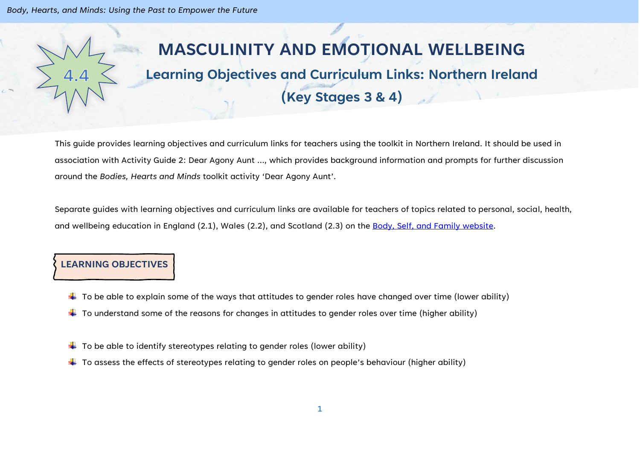*Body, Hearts, and Minds: Using the Past to Empower the Future*

# **MASCULINITY AND EMOTIONAL WELLBEING**

# **Learning Objectives and Curriculum Links: Northern Ireland (Key Stages 3 & 4)**

This guide provides learning objectives and curriculum links for teachers using the toolkit in Northern Ireland. It should be used in association with Activity Guide 2: Dear Agony Aunt …, which provides background information and prompts for further discussion around the *Bodies, Hearts and Minds* toolkit activity 'Dear Agony Aunt'.

Separate guides with learning objectives and curriculum links are available for teachers of topics related to personal, social, health, and wellbeing education in England (2.1), Wales (2.2), and Scotland (2.3) on the [Body, Self, and Family website.](https://bodyselffamily.org/)

### **LEARNING OBJECTIVES**

- $\downarrow$  To be able to explain some of the ways that attitudes to gender roles have changed over time (lower ability)
- $\downarrow$  To understand some of the reasons for changes in attitudes to gender roles over time (higher ability)
- $\downarrow$  To be able to identify stereotypes relating to gender roles (lower ability)
- $\ddot{+}$  To assess the effects of stereotypes relating to gender roles on people's behaviour (higher ability)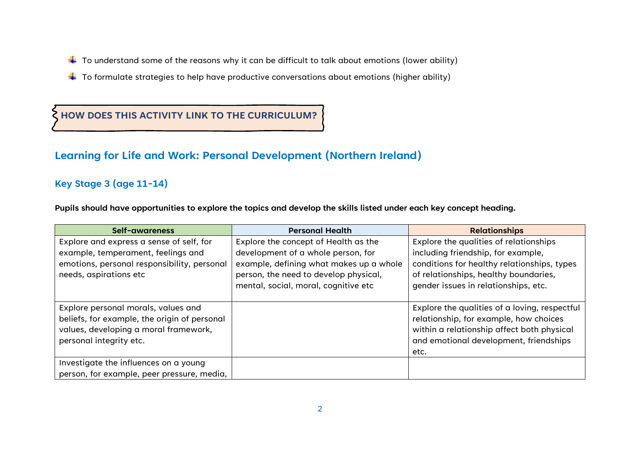- $\downarrow$  To understand some of the reasons why it can be difficult to talk about emotions (lower ability)
- $\ddotplus$  To formulate strategies to help have productive conversations about emotions (higher ability)

**HOW DOES THIS ACTIVITY LINK TO THE CURRICULUM?**

### **Learning for Life and Work: Personal Development (Northern Ireland)**

#### **Key Stage 3 (age 11-14)**

**Pupils should have opportunities to explore the topics and develop the skills listed under each key concept heading.**

| Self-awareness                               | <b>Personal Health</b>                  | <b>Relationships</b>                          |
|----------------------------------------------|-----------------------------------------|-----------------------------------------------|
| Explore and express a sense of self, for     | Explore the concept of Health as the    | Explore the qualities of relationships        |
| example, temperament, feelings and           | development of a whole person, for      | including friendship, for example,            |
| emotions, personal responsibility, personal  | example, defining what makes up a whole | conditions for healthy relationships, types   |
| needs, aspirations etc                       | person, the need to develop physical,   | of relationships, healthy boundaries,         |
|                                              | mental, social, moral, cognitive etc    | gender issues in relationships, etc.          |
|                                              |                                         |                                               |
| Explore personal morals, values and          |                                         | Explore the qualities of a loving, respectful |
| beliefs, for example, the origin of personal |                                         | relationship, for example, how choices        |
| values, developing a moral framework,        |                                         | within a relationship affect both physical    |
| personal integrity etc.                      |                                         | and emotional development, friendships        |
|                                              |                                         | etc.                                          |
| Investigate the influences on a young        |                                         |                                               |
| person, for example, peer pressure, media,   |                                         |                                               |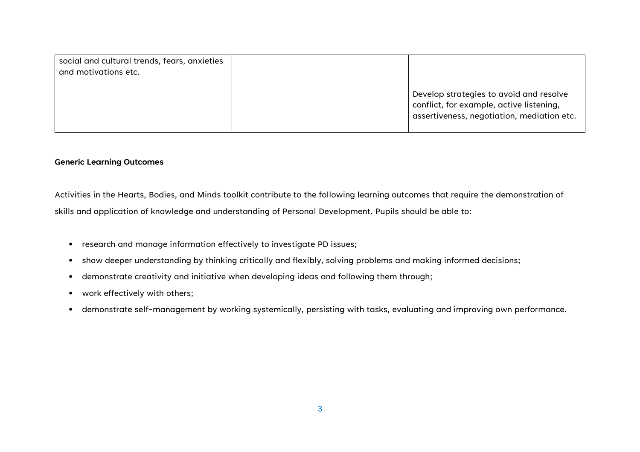| social and cultural trends, fears, anxieties<br>and motivations etc. |                                                                                                                                   |
|----------------------------------------------------------------------|-----------------------------------------------------------------------------------------------------------------------------------|
|                                                                      | Develop strategies to avoid and resolve<br>conflict, for example, active listening,<br>assertiveness, negotiation, mediation etc. |

#### **Generic Learning Outcomes**

Activities in the Hearts, Bodies, and Minds toolkit contribute to the following learning outcomes that require the demonstration of skills and application of knowledge and understanding of Personal Development. Pupils should be able to:

- research and manage information effectively to investigate PD issues;
- show deeper understanding by thinking critically and flexibly, solving problems and making informed decisions;
- demonstrate creativity and initiative when developing ideas and following them through;
- work effectively with others;
- demonstrate self-management by working systemically, persisting with tasks, evaluating and improving own performance.